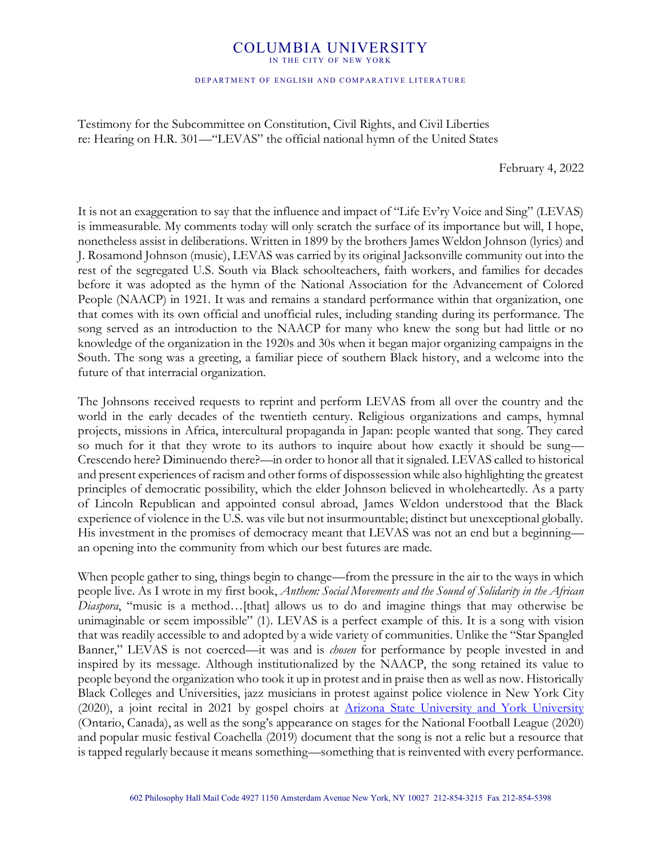## COLUMBIA UNIVERSITY

IN THE CITY OF NEW YORK

## DEPARTMENT OF ENGLISH AND COMPARATIVE LITERATURE

Testimony for the Subcommittee on Constitution, Civil Rights, and Civil Liberties re: Hearing on H.R. 301—"LEVAS" the official national hymn of the United States

February 4, 2022

It is not an exaggeration to say that the influence and impact of "Life Ev'ry Voice and Sing" (LEVAS) is immeasurable. My comments today will only scratch the surface of its importance but will, I hope, nonetheless assist in deliberations. Written in 1899 by the brothers James Weldon Johnson (lyrics) and J. Rosamond Johnson (music), LEVAS was carried by its original Jacksonville community out into the rest of the segregated U.S. South via Black schoolteachers, faith workers, and families for decades before it was adopted as the hymn of the National Association for the Advancement of Colored People (NAACP) in 1921. It was and remains a standard performance within that organization, one that comes with its own official and unofficial rules, including standing during its performance. The song served as an introduction to the NAACP for many who knew the song but had little or no knowledge of the organization in the 1920s and 30s when it began major organizing campaigns in the South. The song was a greeting, a familiar piece of southern Black history, and a welcome into the future of that interracial organization.

The Johnsons received requests to reprint and perform LEVAS from all over the country and the world in the early decades of the twentieth century. Religious organizations and camps, hymnal projects, missions in Africa, intercultural propaganda in Japan: people wanted that song. They cared so much for it that they wrote to its authors to inquire about how exactly it should be sung-Crescendo here? Diminuendo there?—in order to honor all that it signaled. LEVAS called to historical and present experiences of racism and other forms of dispossession while also highlighting the greatest principles of democratic possibility, which the elder Johnson believed in wholeheartedly. As a party of Lincoln Republican and appointed consul abroad, James Weldon understood that the Black experience of violence in the U.S. was vile but not insurmountable; distinct but unexceptional globally. His investment in the promises of democracy meant that LEVAS was not an end but a beginning an opening into the community from which our best futures are made.

When people gather to sing, things begin to change—from the pressure in the air to the ways in which people live. As I wrote in my first book, *Anthem: Social Movements and the Sound of Solidarity in the African Diaspora*, "music is a method...[that] allows us to do and imagine things that may otherwise be unimaginable or seem impossible" (1). LEVAS is a perfect example of this. It is a song with vision that was readily accessible to and adopted by a wide variety of communities. Unlike the "Star Spangled" Banner," LEVAS is not coerced—it was and is *chosen* for performance by people invested in and inspired by its message. Although institutionalized by the NAACP, the song retained its value to people beyond the organization who took it up in protest and in praise then as well as now. Historically Black Colleges and Universities, jazz musicians in protest against police violence in New York City (2020), a joint recital in 2021 by gospel choirs at [Arizona State University and York University](https://www.youtube.com/watch?v=jtxKZjFRFcg) (Ontario, Canada), as well as the song's appearance on stages for the National Football League (2020) and popular music festival Coachella (2019) document that the song is not a relic but a resource that is tapped regularly because it means something—something that is reinvented with every performance.